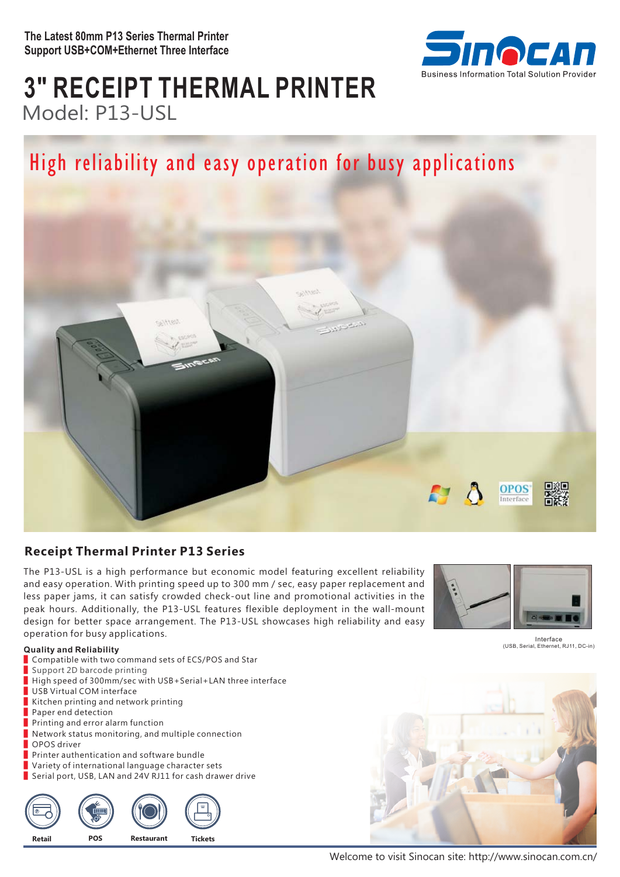

# **3" RECEIPT THERMAL PRINTER** Model: P13-USL

# High reliability and easy operation for busy applications



## **Receipt Thermal Printer P13 Series**

The P13-USL is a high performance but economic model featuring excellent reliability and easy operation. With printing speed up to 300 mm / sec, easy paper replacement and less paper jams, it can satisfy crowded check-out line and promotional activities in the peak hours. Additionally, the P13-USL features flexible deployment in the wall-mount design for better space arrangement. The P13-USL showcases high reliability and easy operation for busy applications.



Interface (USB, Serial, Ethernet, RJ11, DC-in)

#### **Quality and Reliability**

- Compatible with two command sets of ECS/POS and Star
- Support 2D barcode printing
- High speed of 300mm/sec with USB+Serial+LAN three interface
- USB Virtual COM interface
- Kitchen printing and network printing
- Paper end detection
- Printing and error alarm function
- Network status monitoring, and multiple connection
- OPOS driver
- Printer authentication and software bundle
- Variety of international language character sets
- Serial port, USB, LAN and 24V RJ11 for cash drawer drive





Welcome to visit Sinocan site: http://www.sinocan.com.cn/